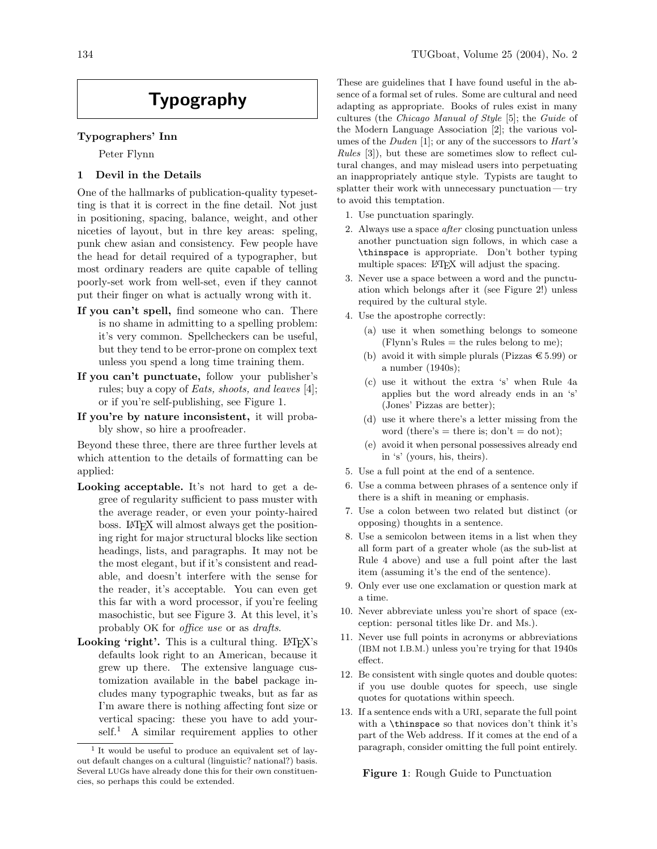# Typography

# Typographers' Inn

Peter Flynn

## 1 Devil in the Details

One of the hallmarks of publication-quality typesetting is that it is correct in the fine detail. Not just in positioning, spacing, balance, weight, and other niceties of layout, but in thre key areas: speling, punk chew asian and consistency. Few people have the head for detail required of a typographer, but most ordinary readers are quite capable of telling poorly-set work from well-set, even if they cannot put their finger on what is actually wrong with it.

- If you can't spell, find someone who can. There is no shame in admitting to a spelling problem: it's very common. Spellcheckers can be useful, but they tend to be error-prone on complex text unless you spend a long time training them.
- If you can't punctuate, follow your publisher's rules; buy a copy of Eats, shoots, and leaves [4]; or if you're self-publishing, see Figure 1.
- If you're by nature inconsistent, it will probably show, so hire a proofreader.

Beyond these three, there are three further levels at which attention to the details of formatting can be applied:

- Looking acceptable. It's not hard to get a degree of regularity sufficient to pass muster with the average reader, or even your pointy-haired boss. LATEX will almost always get the positioning right for major structural blocks like section headings, lists, and paragraphs. It may not be the most elegant, but if it's consistent and readable, and doesn't interfere with the sense for the reader, it's acceptable. You can even get this far with a word processor, if you're feeling masochistic, but see Figure 3. At this level, it's probably OK for office use or as drafts.
- **Looking 'right'.** This is a cultural thing.  $\text{LATEX's}$ defaults look right to an American, because it grew up there. The extensive language customization available in the babel package includes many typographic tweaks, but as far as I'm aware there is nothing affecting font size or vertical spacing: these you have to add your $self.<sup>1</sup>$  A similar requirement applies to other

These are guidelines that I have found useful in the absence of a formal set of rules. Some are cultural and need adapting as appropriate. Books of rules exist in many cultures (the Chicago Manual of Style [5]; the Guide of the Modern Language Association [2]; the various volumes of the *Duden* [1]; or any of the successors to *Hart's* Rules [3]), but these are sometimes slow to reflect cultural changes, and may mislead users into perpetuating an inappropriately antique style. Typists are taught to splatter their work with unnecessary punctuation — try to avoid this temptation.

- 1. Use punctuation sparingly.
- 2. Always use a space after closing punctuation unless another punctuation sign follows, in which case a \thinspace is appropriate. Don't bother typing multiple spaces: L<sup>AT</sup>EX will adjust the spacing.
- 3. Never use a space between a word and the punctuation which belongs after it (see Figure 2!) unless required by the cultural style.
- 4. Use the apostrophe correctly:
	- (a) use it when something belongs to someone  $(Flynn's Rules = the rules belong to me);$
	- (b) avoid it with simple plurals (Pizzas  $\text{\textsterling}5.99$ ) or a number (1940s);
	- (c) use it without the extra 's' when Rule 4a applies but the word already ends in an 's' (Jones' Pizzas are better);
	- (d) use it where there's a letter missing from the word (there's  $=$  there is; don't  $=$  do not);
	- (e) avoid it when personal possessives already end in 's' (yours, his, theirs).
- 5. Use a full point at the end of a sentence.
- 6. Use a comma between phrases of a sentence only if there is a shift in meaning or emphasis.
- 7. Use a colon between two related but distinct (or opposing) thoughts in a sentence.
- 8. Use a semicolon between items in a list when they all form part of a greater whole (as the sub-list at Rule 4 above) and use a full point after the last item (assuming it's the end of the sentence).
- 9. Only ever use one exclamation or question mark at a time.
- 10. Never abbreviate unless you're short of space (exception: personal titles like Dr. and Ms.).
- 11. Never use full points in acronyms or abbreviations (IBM not I.B.M.) unless you're trying for that 1940s effect.
- 12. Be consistent with single quotes and double quotes: if you use double quotes for speech, use single quotes for quotations within speech.
- 13. If a sentence ends with a URI, separate the full point with a \thinspace so that novices don't think it's part of the Web address. If it comes at the end of a paragraph, consider omitting the full point entirely.

Figure 1: Rough Guide to Punctuation

<sup>1</sup> It would be useful to produce an equivalent set of layout default changes on a cultural (linguistic? national?) basis. Several LUGs have already done this for their own constituencies, so perhaps this could be extended.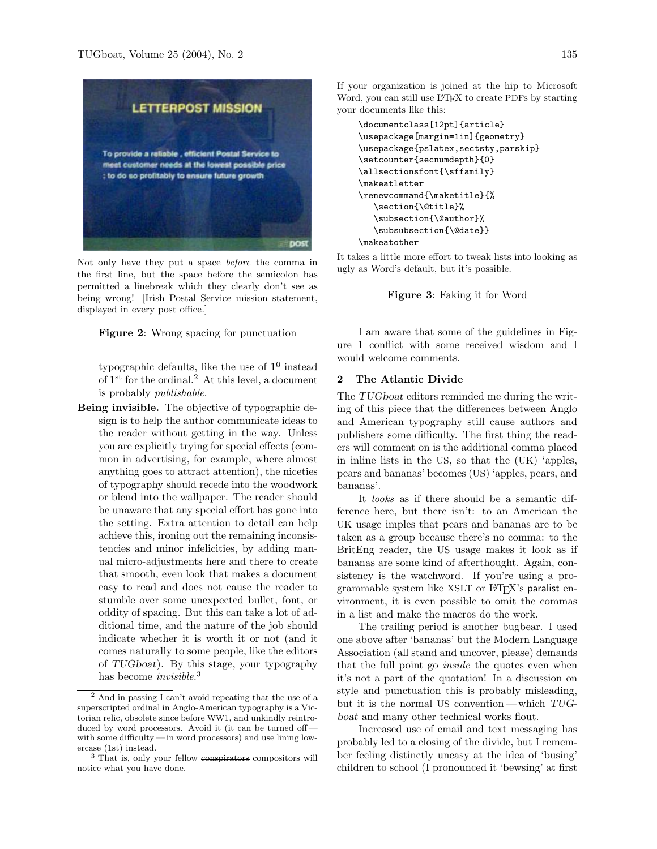

Not only have they put a space before the comma in the first line, but the space before the semicolon has permitted a linebreak which they clearly don't see as being wrong! [Irish Postal Service mission statement, displayed in every post office.]

#### Figure 2: Wrong spacing for punctuation

typographic defaults, like the use of  $1<sup>0</sup>$  instead of 1st for the ordinal.<sup>2</sup> At this level, a document is probably publishable.

Being invisible. The objective of typographic design is to help the author communicate ideas to the reader without getting in the way. Unless you are explicitly trying for special effects (common in advertising, for example, where almost anything goes to attract attention), the niceties of typography should recede into the woodwork or blend into the wallpaper. The reader should be unaware that any special effort has gone into the setting. Extra attention to detail can help achieve this, ironing out the remaining inconsistencies and minor infelicities, by adding manual micro-adjustments here and there to create that smooth, even look that makes a document easy to read and does not cause the reader to stumble over some unexpected bullet, font, or oddity of spacing. But this can take a lot of additional time, and the nature of the job should indicate whether it is worth it or not (and it comes naturally to some people, like the editors of TUGboat). By this stage, your typography has become *invisible*.<sup>3</sup>

If your organization is joined at the hip to Microsoft Word, you can still use LAT<sub>EX</sub> to create PDFs by starting your documents like this:

```
\documentclass[12pt]{article}
\usepackage[margin=1in]{geometry}
\usepackage{pslatex,sectsty,parskip}
\setcounter{secnumdepth}{0}
\allsectionsfont{\sffamily}
\makeatletter
\renewcommand{\maketitle}{%
  \section{\@title}%
  \subsection{\@author}%
  \subsubsection{\@date}}
\makeatother
```
It takes a little more effort to tweak lists into looking as ugly as Word's default, but it's possible.



I am aware that some of the guidelines in Figure 1 conflict with some received wisdom and I would welcome comments.

### 2 The Atlantic Divide

The TUGboat editors reminded me during the writing of this piece that the differences between Anglo and American typography still cause authors and publishers some difficulty. The first thing the readers will comment on is the additional comma placed in inline lists in the US, so that the (UK) 'apples, pears and bananas' becomes (US) 'apples, pears, and bananas'.

It looks as if there should be a semantic difference here, but there isn't: to an American the UK usage imples that pears and bananas are to be taken as a group because there's no comma: to the BritEng reader, the US usage makes it look as if bananas are some kind of afterthought. Again, consistency is the watchword. If you're using a programmable system like XSLT or L<sup>AT</sup>FX's paralist environment, it is even possible to omit the commas in a list and make the macros do the work.

The trailing period is another bugbear. I used one above after 'bananas' but the Modern Language Association (all stand and uncover, please) demands that the full point go *inside* the quotes even when it's not a part of the quotation! In a discussion on style and punctuation this is probably misleading, but it is the normal US convention— which TUGboat and many other technical works flout.

Increased use of email and text messaging has probably led to a closing of the divide, but I remember feeling distinctly uneasy at the idea of 'busing' children to school (I pronounced it 'bewsing' at first

<sup>2</sup> And in passing I can't avoid repeating that the use of a superscripted ordinal in Anglo-American typography is a Victorian relic, obsolete since before WW1, and unkindly reintroduced by word processors. Avoid it (it can be turned off with some difficulty— in word processors) and use lining lowercase (1st) instead.

<sup>&</sup>lt;sup>3</sup> That is, only your fellow conspirators compositors will notice what you have done.